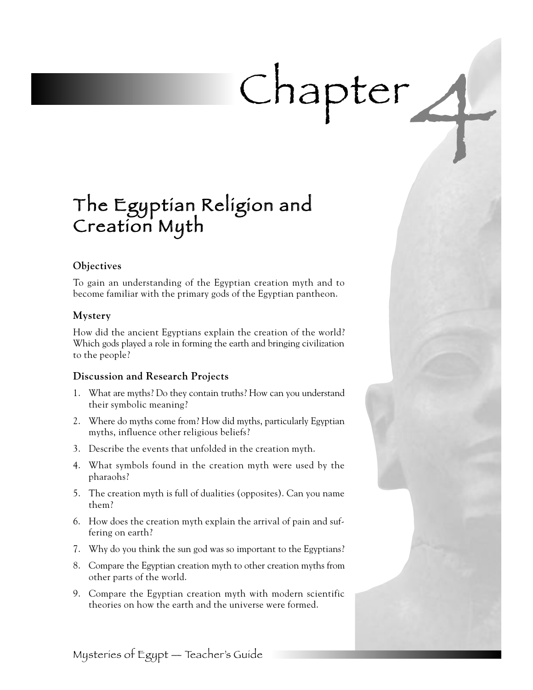# Chapter 4

## The Egyptian Religion and Creation Myth

#### **Objectives**

To gain an understanding of the Egyptian creation myth and to become familiar with the primary gods of the Egyptian pantheon.

#### **Mystery**

How did the ancient Egyptians explain the creation of the world? Which gods played a role in forming the earth and bringing civilization to the people?

#### **Discussion and Research Projects**

- 1. What are myths? Do they contain truths? How can you understand their symbolic meaning?
- 2. Where do myths come from? How did myths, particularly Egyptian myths, influence other religious beliefs?
- 3. Describe the events that unfolded in the creation myth.
- 4. What symbols found in the creation myth were used by the pharaohs?
- 5. The creation myth is full of dualities (opposites). Can you name them?
- 6. How does the creation myth explain the arrival of pain and suffering on earth?
- 7. Why do you think the sun god was so important to the Egyptians?
- 8. Compare the Egyptian creation myth to other creation myths from other parts of the world.
- 9. Compare the Egyptian creation myth with modern scientific theories on how the earth and the universe were formed.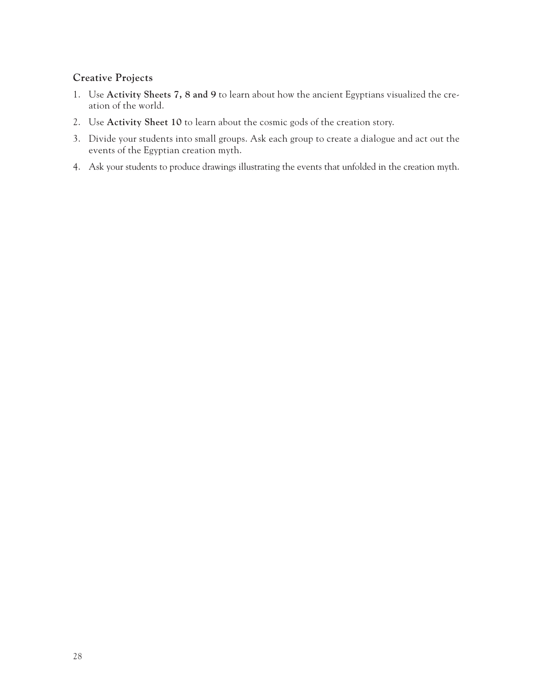#### **Creative Projects**

- 1. Use **Activity Sheets 7, 8 and 9** to learn about how the ancient Egyptians visualized the creation of the world.
- 2. Use **Activity Sheet 10** to learn about the cosmic gods of the creation story.
- 3. Divide your students into small groups. Ask each group to create a dialogue and act out the events of the Egyptian creation myth.
- 4. Ask your students to produce drawings illustrating the events that unfolded in the creation myth.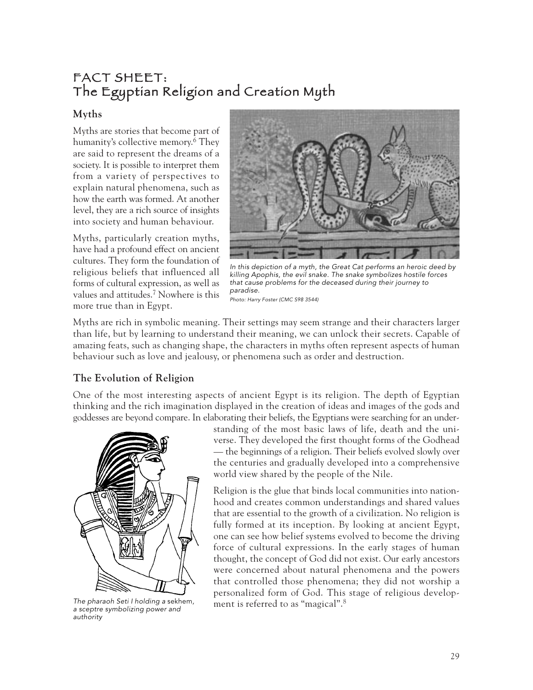#### FACT SHEET: The Egyptian Religion and Creation Myth

#### **Myths**

Myths are stories that become part of humanity's collective memory. <sup>6</sup> They are said to represent the dreams of a society. It is possible to interpret them from a variety of perspectives to explain natural phenomena, such as how the earth was formed. At another level, they are a rich source of insights into society and human behaviour.

Myths, particularly creation myths, have had a profound effect on ancient cultures. They form the foundation of religious beliefs that influenced all forms of cultural expression, as well as values and attitudes.7 Nowhere is this more true than in Egypt.



In this depiction of a myth, the Great Cat performs an heroic deed by killing Apophis, the evil snake. The snake symbolizes hostile forces that cause problems for the deceased during their journey to paradise. Photo: Harry Foster (CMC S98 3544)

Myths are rich in symbolic meaning. Their settings may seem strange and their characters larger than life, but by learning to understand their meaning, we can unlock their secrets. Capable of amazing feats, such as changing shape, the characters in myths often represent aspects of human behaviour such as love and jealousy, or phenomena such as order and destruction.

#### **The Evolution of Religion**

One of the most interesting aspects of ancient Egypt is its religion. The depth of Egyptian thinking and the rich imagination displayed in the creation of ideas and images of the gods and goddesses are beyond compare. In elaborating their beliefs, the Egyptians were searching for an under-



The pharaoh Seti I holding a sekhem, a sceptre symbolizing power and authority

standing of the most basic laws of life, death and the universe. They developed the first thought forms of the Godhead — the beginnings of a religion. Their beliefs evolved slowly over the centuries and gradually developed into a comprehensive world view shared by the people of the Nile.

Religion is the glue that binds local communities into nationhood and creates common understandings and shared values that are essential to the growth of a civilization. No religion is fully formed at its inception. By looking at ancient Egypt, one can see how belief systems evolved to become the driving force of cultural expressions. In the early stages of human thought, the concept of God did not exist. Our early ancestors were concerned about natural phenomena and the powers that controlled those phenomena; they did not worship a personalized form of God. This stage of religious development is referred to as "magical".<sup>8</sup>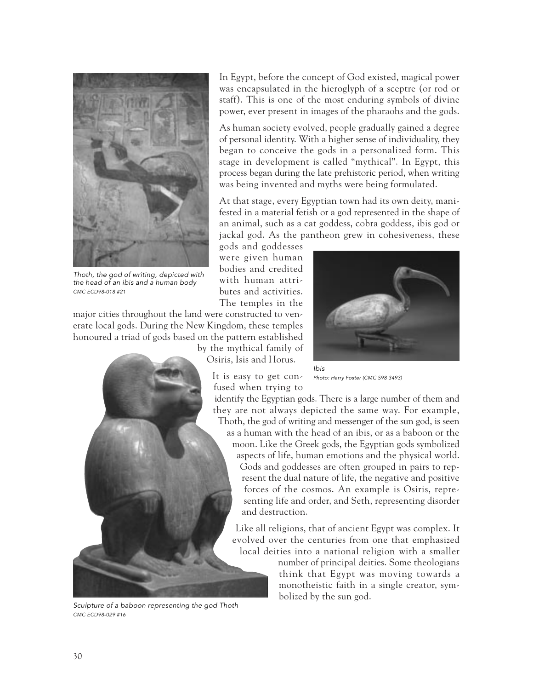

Thoth, the god of writing, depicted with the head of an ibis and a human body CMC ECD98-018 #21

major cities throughout the land were constructed to venerate local gods. During the New Kingdom, these temples honoured a triad of gods based on the pattern established

> by the mythical family of Osiris, Isis and Horus.





gods and goddesses were given human bodies and credited with human attributes and activities. The temples in the

Photo: Harry Foster (CMC S98 3493)

In Egypt, before the concept of God existed, magical power was encapsulated in the hieroglyph of a sceptre (or rod or staff). This is one of the most enduring symbols of divine power, ever present in images of the pharaohs and the gods. As human society evolved, people gradually gained a degree of personal identity. With a higher sense of individuality, they began to conceive the gods in a personalized form. This stage in development is called "mythical". In Egypt, this process began during the late prehistoric period, when writing was being invented and myths were being formulated.

At that stage, every Egyptian town had its own deity, manifested in a material fetish or a god represented in the shape of an animal, such as a cat goddess, cobra goddess, ibis god or jackal god. As the pantheon grew in cohesiveness, these



Sculpture of a baboon representing the god Thoth CMC ECD98-029 #16

as a human with the head of an ibis, or as a baboon or the moon. Like the Greek gods, the Egyptian gods symbolized aspects of life, human emotions and the physical world. Gods and goddesses are often grouped in pairs to represent the dual nature of life, the negative and positive forces of the cosmos. An example is Osiris, representing life and order, and Seth, representing disorder and destruction.

Like all religions, that of ancient Egypt was complex. It evolved over the centuries from one that emphasized local deities into a national religion with a smaller

> number of principal deities. Some theologians think that Egypt was moving towards a monotheistic faith in a single creator, symbolized by the sun god.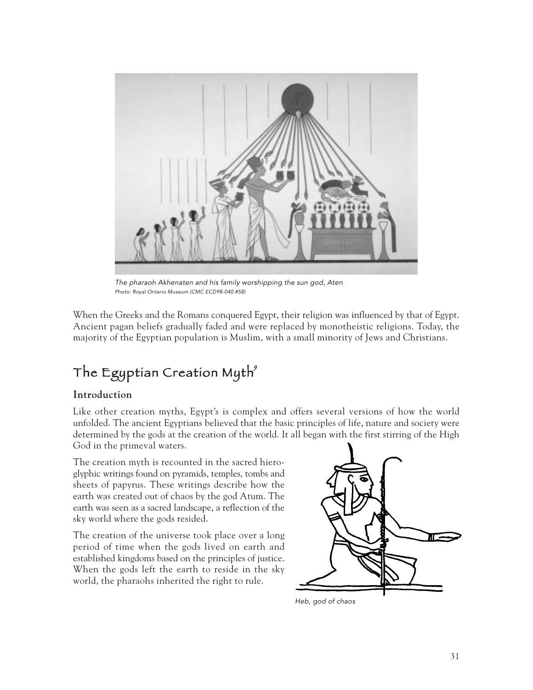

The pharaoh Akhenaten and his family worshipping the sun god, Aten Photo: Royal Ontario Museum (CMC ECD98-040 #58)

When the Greeks and the Romans conquered Egypt, their religion was influenced by that of Egypt. Ancient pagan beliefs gradually faded and were replaced by monotheistic religions. Today, the majority of the Egyptian population is Muslim, with a small minority of Jews and Christians.

### The Egyptian Creation Myth<sup>9</sup>

#### **Introduction**

Like other creation myths, Egypt's is complex and offers several versions of how the world unfolded. The ancient Egyptians believed that the basic principles of life, nature and society were determined by the gods at the creation of the world. It all began with the first stirring of the High God in the primeval waters.

The creation myth is recounted in the sacred hieroglyphic writings found on pyramids, temples, tombs and sheets of papyrus. These writings describe how the earth was created out of chaos by the god Atum. The earth was seen as a sacred landscape, a reflection of the sky world where the gods resided.

The creation of the universe took place over a long period of time when the gods lived on earth and established kingdoms based on the principles of justice. When the gods left the earth to reside in the sky world, the pharaohs inherited the right to rule.



Heb, god of chaos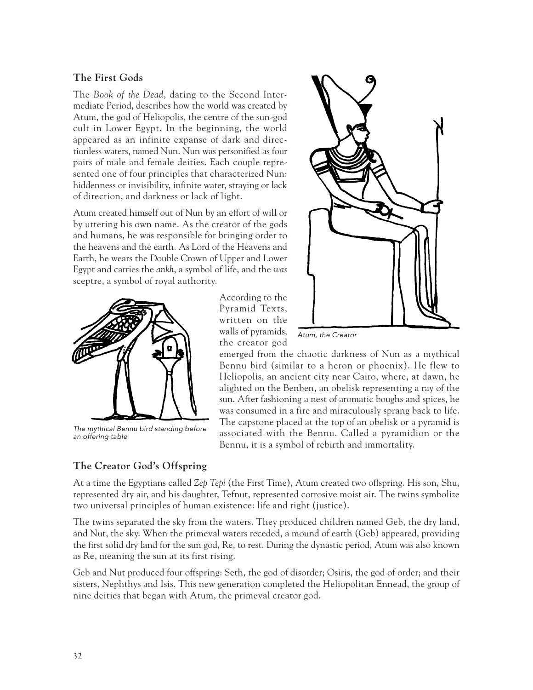#### **The First Gods**

The *Book of the Dead*, dating to the Second Intermediate Period, describes how the world was created by Atum, the god of Heliopolis, the centre of the sun-god cult in Lower Egypt. In the beginning, the world appeared as an infinite expanse of dark and directionless waters, named Nun. Nun was personified as four pairs of male and female deities. Each couple represented one of four principles that characterized Nun: hiddenness or invisibility, infinite water, straying or lack of direction, and darkness or lack of light.

Atum created himself out of Nun by an effort of will or by uttering his own name. As the creator of the gods and humans, he was responsible for bringing order to the heavens and the earth. As Lord of the Heavens and Earth, he wears the Double Crown of Upper and Lower Egypt and carries the *ankh*, a symbol of life, and the *was* sceptre, a symbol of royal authority.



The mythical Bennu bird standing before an offering table

According to the Pyramid Texts, written on the walls of pyramids, the creator god



Atum, the Creator

emerged from the chaotic darkness of Nun as a mythical Bennu bird (similar to a heron or phoenix). He flew to Heliopolis, an ancient city near Cairo, where, at dawn, he alighted on the Benben, an obelisk representing a ray of the sun. After fashioning a nest of aromatic boughs and spices, he was consumed in a fire and miraculously sprang back to life. The capstone placed at the top of an obelisk or a pyramid is associated with the Bennu. Called a pyramidion or the Bennu, it is a symbol of rebirth and immortality.

#### **The Creator God's Offspring**

At a time the Egyptians called *Zep Tepi* (the First Time), Atum created two offspring. His son, Shu, represented dry air, and his daughter, Tefnut, represented corrosive moist air. The twins symbolize two universal principles of human existence: life and right (justice).

The twins separated the sky from the waters. They produced children named Geb, the dry land, and Nut, the sky. When the primeval waters receded, a mound of earth (Geb) appeared, providing the first solid dry land for the sun god, Re, to rest. During the dynastic period, Atum was also known as Re, meaning the sun at its first rising.

Geb and Nut produced four offspring: Seth, the god of disorder; Osiris, the god of order; and their sisters, Nephthys and Isis. This new generation completed the Heliopolitan Ennead, the group of nine deities that began with Atum, the primeval creator god.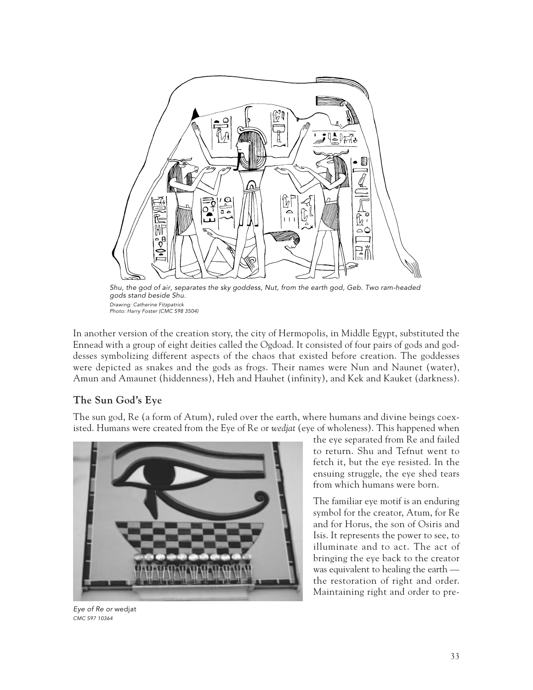

Shu, the god of air, separates the sky goddess, Nut, from the earth god, Geb. Two ram-headed gods stand beside Shu. Drawing: Catherine Fitzpatrick Photo: Harry Foster (CMC S98 3504)

In another version of the creation story, the city of Hermopolis, in Middle Egypt, substituted the Ennead with a group of eight deities called the Ogdoad. It consisted of four pairs of gods and goddesses symbolizing different aspects of the chaos that existed before creation. The goddesses were depicted as snakes and the gods as frogs. Their names were Nun and Naunet (water), Amun and Amaunet (hiddenness), Heh and Hauhet (infinity), and Kek and Kauket (darkness).

#### **The Sun God's Eye**

The sun god, Re (a form of Atum), ruled over the earth, where humans and divine beings coexisted. Humans were created from the Eye of Re or *wedjat* (eye of wholeness). This happened when



the eye separated from Re and failed to return. Shu and Tefnut went to fetch it, but the eye resisted. In the ensuing struggle, the eye shed tears from which humans were born.

The familiar eye motif is an enduring symbol for the creator, Atum, for Re and for Horus, the son of Osiris and Isis. It represents the power to see, to illuminate and to act. The act of bringing the eye back to the creator was equivalent to healing the earth the restoration of right and order. Maintaining right and order to pre-

Eye of Re or wedjat CMC S97 10364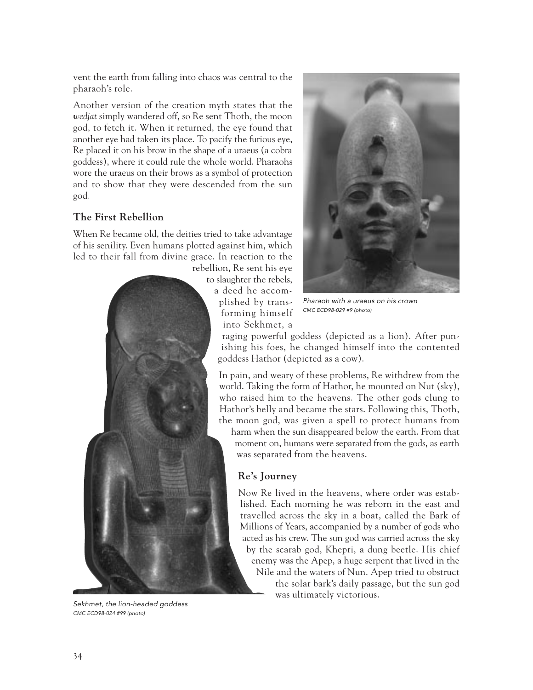vent the earth from falling into chaos was central to the pharaoh's role.

Another version of the creation myth states that the *wedjat* simply wandered off, so Re sent Thoth, the moon god, to fetch it. When it returned, the eye found that another eye had taken its place. To pacify the furious eye, Re placed it on his brow in the shape of a uraeus (a cobra goddess), where it could rule the whole world. Pharaohs wore the uraeus on their brows as a symbol of protection and to show that they were descended from the sun god.

#### **The First Rebellion**

When Re became old, the deities tried to take advantage of his senility. Even humans plotted against him, which led to their fall from divine grace. In reaction to the



Sekhmet, the lion-headed goddess CMC ECD98-024 #99 (photo)



Pharaoh with a uraeus on his crown CMC ECD98-029 #9 (photo)

raging powerful goddess (depicted as a lion). After punishing his foes, he changed himself into the contented goddess Hathor (depicted as a cow).

In pain, and weary of these problems, Re withdrew from the world. Taking the form of Hathor, he mounted on Nut (sky), who raised him to the heavens. The other gods clung to Hathor's belly and became the stars. Following this, Thoth, the moon god, was given a spell to protect humans from

harm when the sun disappeared below the earth. From that moment on, humans were separated from the gods, as earth was separated from the heavens.

#### **Re's Journey**

Now Re lived in the heavens, where order was established. Each morning he was reborn in the east and travelled across the sky in a boat, called the Bark of Millions of Years, accompanied by a number of gods who acted as his crew. The sun god was carried across the sky by the scarab god, Khepri, a dung beetle. His chief enemy was the Apep, a huge serpent that lived in the Nile and the waters of Nun. Apep tried to obstruct the solar bark's daily passage, but the sun god was ultimately victorious.